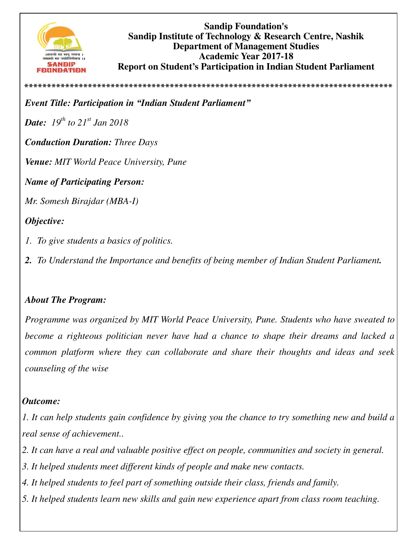

**Sandip Foundation's Sandip Institute of Technology & Research Centre, Nashik Department of Management Studies Academic Year 2017-18 Report on Student's Participation in Indian Student Parliament** 

*Event Title: Participation in "Indian Student Parliament"*

*Date: 19th to 21st Jan 2018* 

*Conduction Duration: Three Days* 

*Venue: MIT World Peace University, Pune* 

*Name of Participating Person:* 

*Mr. Somesh Birajdar (MBA-I)*

## *Objective:*

- *1. To give students a basics of politics.*
- *2. To Understand the Importance and benefits of being member of Indian Student Parliament.*

**\*\*\*\*\*\*\*\*\*\*\*\*\*\*\*\*\*\*\*\*\*\*\*\*\*\*\*\*\*\*\*\*\*\*\*\*\*\*\*\*\*\*\*\*\*\*\*\*\*\*\*\*\*\*\*\*\*\*\*\*\*\*\*\*\*\*\*\*\*\*\*\*\*\*\*\*\*\*\*\*\***

## *About The Program:*

*Programme was organized by MIT World Peace University, Pune. Students who have sweated to become a righteous politician never have had a chance to shape their dreams and lacked a common platform where they can collaborate and share their thoughts and ideas and seek counseling of the wise*

## *Outcome:*

*1. It can help students gain confidence by giving you the chance to try something new and build a real sense of achievement..* 

- *2. It can have a real and valuable positive effect on people, communities and society in general.*
- *3. It helped students meet different kinds of people and make new contacts.*
- *4. It helped students to feel part of something outside their class, friends and family.*
- *5. It helped students learn new skills and gain new experience apart from class room teaching.*